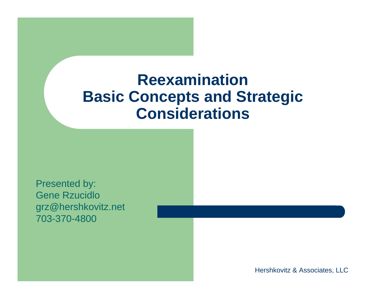#### **ReexaminationBasic Concepts and Strategic Considerations**

Presented by: Gene Rzucidlogrz@hershkovitz.net 703-370-4800

Hershkovitz & Associates, LLC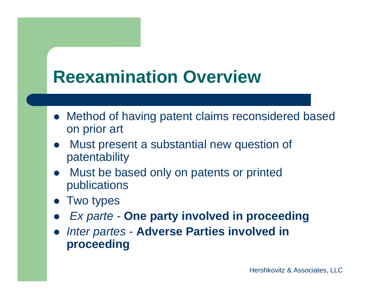## **Reexamination Overview**

- Method of having patent claims reconsidered based on prior art
- $\bullet$  Must present a substantial new question of patentability
- Must be based only on patents or printed publications
- **•** Two types
- $\bullet$ *Ex parte -* **One party involved in proceeding**
- $\bullet$  *Inter partes -* **Adverse Parties involved in proceeding**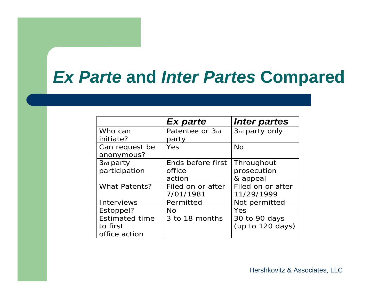#### *Ex Parte* **and** *Inter Partes* **Compared**

|                       | <b>Ex parte</b>   | Inter partes       |
|-----------------------|-------------------|--------------------|
| Who can               | Patentee or 3rd   | 3rd party only     |
| initiate?             | party             |                    |
| Can request be        | Yes               | <b>No</b>          |
| anonymous?            |                   |                    |
| 3rd party             | Ends before first | Throughout         |
| participation         | office            | prosecution        |
|                       | action            | & appeal           |
| <b>What Patents?</b>  | Filed on or after | Filed on or after  |
|                       | 7/01/1981         | 11/29/1999         |
| <b>Interviews</b>     | Permitted         | Not permitted      |
| Estoppel?             | No.               | Yes                |
| <b>Estimated time</b> | 3 to 18 months    | 30 to 90 days      |
| to first              |                   | (up to $120$ days) |
| office action         |                   |                    |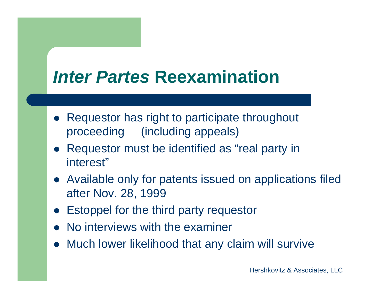### **Inter Partes Reexamination**

- $\bullet$  Requestor has right to participate throughout proceeding (including appeals)
- Requestor must be identified as "real party in interest"
- Available only for patents issued on applications filed after Nov. 28, 1999
- Estoppel for the third party requestor
- $\bullet$ No interviews with the examiner
- Much lower likelihood that any claim will survive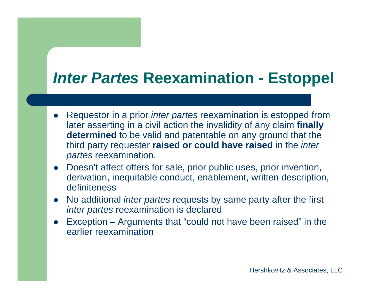#### *Inter Partes* **Reexamination - Estoppel**

- $\bullet$  Requestor in a prior *inter partes* reexamination is estopped from later asserting in a civil action the invalidity of any claim **finally determined** to be valid and patentable on any ground that the third party requester **raised or could have raised** in the *inter partes* reexamination.
- Doesn't affect offers for sale, prior public uses, prior invention, derivation, inequitable conduct, enablement, written description, definiteness
- $\bullet$  No additional *inter partes* requests by same party after the first *inter partes* reexamination is declared
- $\bullet$  Exception – Arguments that "could not have been raised" in the earlier reexamination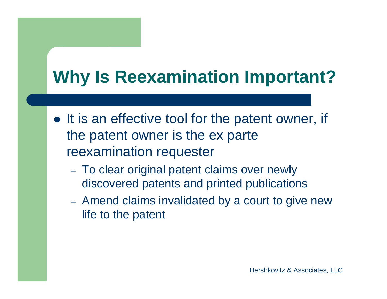## **Why Is Reexamination Important?**

- It is an effective tool for the patent owner, if the patent owner is the ex parte reexamination requester
	- To clear original patent claims over newly discovered patents and printed publications
	- Amend claims invalidated by a court to give new life to the patent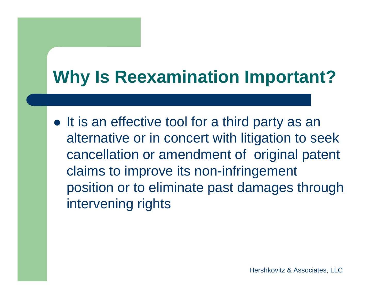## **Why Is Reexamination Important?**

• It is an effective tool for a third party as an alternative or in concert with litigation to seek cancellation or amendment of original patent claims to improve its non-infringement position or to eliminate past damages through intervening rights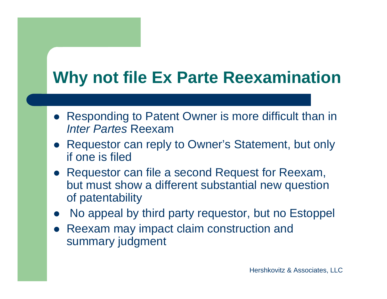## **Why not file Ex Parte Reexamination**

- Responding to Patent Owner is more difficult than in *Inter Partes* Reexam
- Requestor can reply to Owner's Statement, but only if one is filed
- Requestor can file a second Request for Reexam, but must show a different substantial new question of patentability
- No appeal by third party requestor, but no Estoppel
- $\bullet$  Reexam may impact claim construction and summary judgment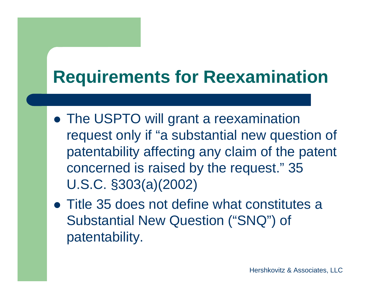## **Requirements for Reexamination**

- The USPTO will grant a reexamination request only if "a substantial new question of patentability affecting any claim of the patent concerned is raised by the request." 35 U.S.C. §303(a)(2002)
- Title 35 does not define what constitutes a Substantial New Question ("SNQ") of patentability.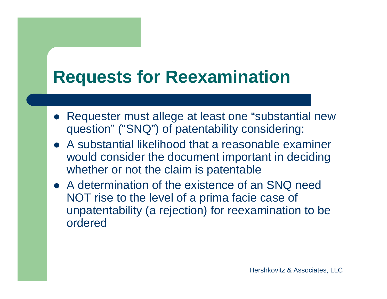## **Requests for Reexamination**

- Requester must allege at least one "substantial new question" ("SNQ") of patentability considering:
- A substantial likelihood that a reasonable examiner would consider the document important in deciding whether or not the claim is patentable
- A determination of the existence of an SNQ need NOT rise to the level of a prima facie case of unpatentability (a rejection) for reexamination to be ordered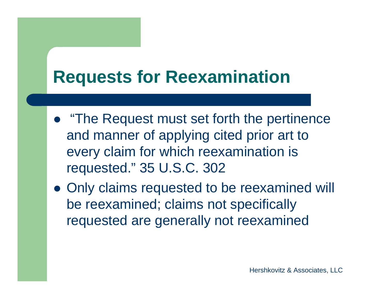## **Requests for Reexamination**

- "The Request must set forth the pertinence and manner of applying cited prior art to every claim for which reexamination is requested." 35 U.S.C. 302
- Only claims requested to be reexamined will be reexamined; claims not specifically requested are generally not reexamined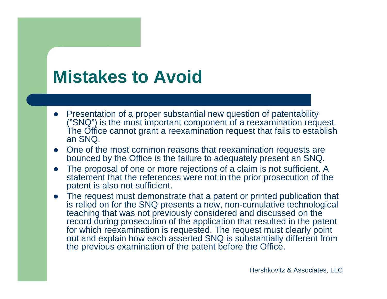- Presentation of a proper substantial new question of patentability ("SNQ") is the most important component of a reexamination request. The Office cannot grant a reexamination request that fails to establish an SNQ.
- One of the most common reasons that reexamination requests are bounced by the Office is the failure to adequately present an SNQ.
- $\bullet$  The proposal of one or more rejections of a claim is not sufficient. A statement that the references were not in the prior prosecution of the patent is also not sufficient.
- The request must demonstrate that a patent or printed publication that is relied on for the SNQ presents a new, non-cumulative technological teaching that was not previously considered and discussed on the record during prosecution of the application that resulted in the patent for which reexamination is requested. The request must clearly point out and explain how each asserted SNQ is substantially different from the previous examination of the patent before the Office.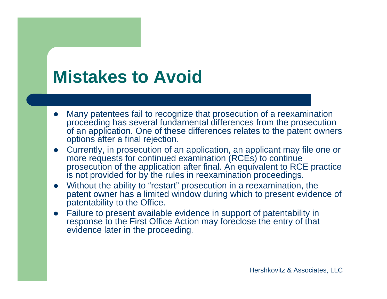- $\bullet$  Many patentees fail to recognize that prosecution of a reexamination proceeding has several fundamental differences from the prosecution of an application. One of these differences relates to the patent owners options after a final rejection.
- $\bullet$  Currently, in prosecution of an application, an applicant may file one or more requests for continued examination (RCEs) to continue prosecution of the application after final. An equivalent to RCE practice is not provided for by the rules in reexamination proceedings.
- Without the ability to "restart" prosecution in a reexamination, the patent owner has a limited window during which to present evidence of patentability to the Office.
- $\bullet$  Failure to present available evidence in support of patentability in response to the First Office Action may foreclose the entry of that evidence later in the proceeding.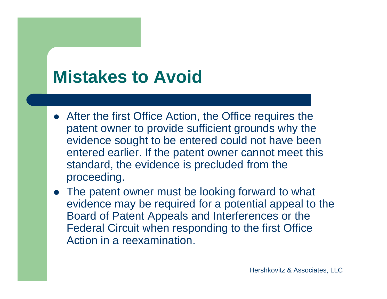- After the first Office Action, the Office requires the patent owner to provide sufficient grounds why the evidence sought to be entered could not have been entered earlier. If the patent owner cannot meet this standard, the evidence is precluded from the proceeding.
- The patent owner must be looking forward to what evidence may be required for a potential appeal to the Board of Patent Appeals and Interferences or the Federal Circuit when responding to the first Office Action in a reexamination.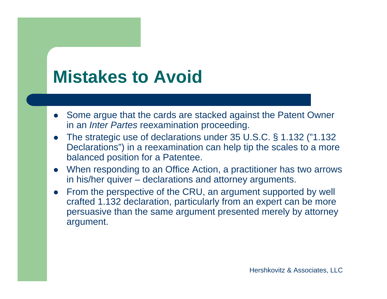- Some argue that the cards are stacked against the Patent Owner in an *Inter Partes* reexamination proceeding.
- The strategic use of declarations under 35 U.S.C. § 1.132 ("1.132 Declarations") in a reexamination can help tip the scales to a more balanced position for a Patentee.
- When responding to an Office Action, a practitioner has two arrows in his/her quiver – declarations and attorney arguments.
- $\bullet$  From the perspective of the CRU, an argument supported by well crafted 1.132 declaration, particularly from an expert can be more persuasive than the same argument presented merely by attorney argument.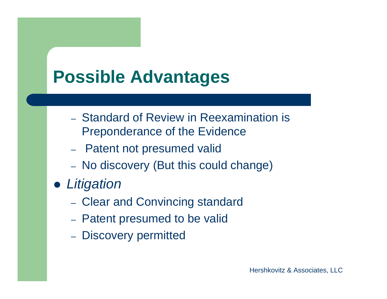- Standard of Review in Reexamination is Preponderance of the Evidence
- Patent not presumed valid
- No discovery (But this could change)
- *Litigation*
	- Clear and Convincing standard
	- Patent presumed to be valid
	- Discovery permitted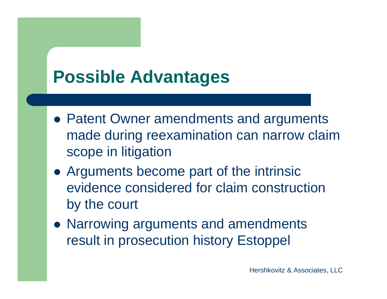- Patent Owner amendments and arguments made during reexamination can narrow claim scope in litigation
- Arguments become part of the intrinsic evidence considered for claim construction by the court
- Narrowing arguments and amendments result in prosecution history Estoppel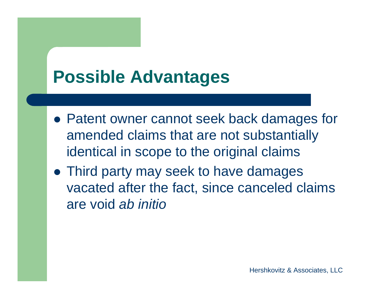- Patent owner cannot seek back damages for amended claims that are not substantially identical in scope to the original claims
- Third party may seek to have damages vacated after the fact, since canceled claims are void *ab initio*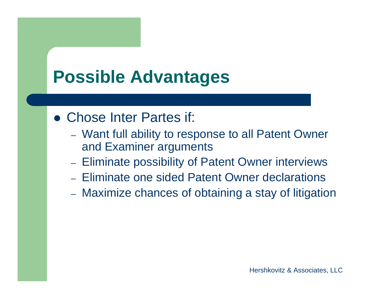- Chose Inter Partes if:
	- Want full ability to response to all Patent Owner and Examiner arguments
	- Eliminate possibility of Patent Owner interviews
	- Eliminate one sided Patent Owner declarations
	- Maximize chances of obtaining a stay of litigation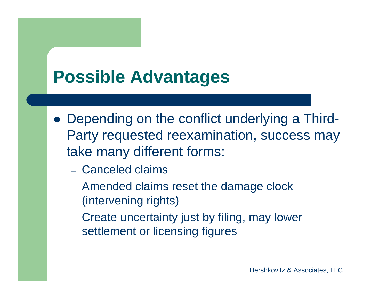- Depending on the conflict underlying a Third-Party requested reexamination, success may take many different forms:
	- Canceled claims
	- Amended claims reset the damage clock (intervening rights)
	- Create uncertainty just by filing, may lower settlement or licensing figures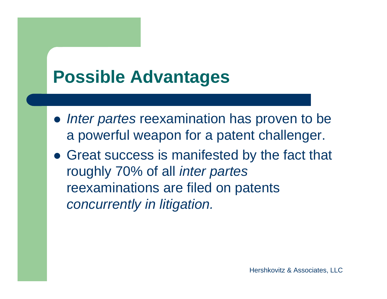- *Inter partes* reexamination has proven to be a powerful weapon for a patent challenger.
- Great success is manifested by the fact that roughly 70% of all *inter partes*  reexaminations are filed on patents *concurrently in litigation.*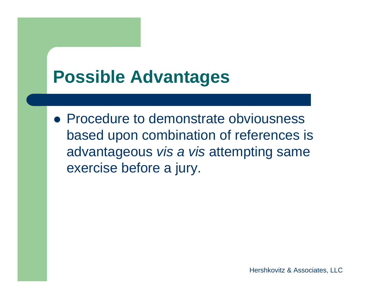• Procedure to demonstrate obviousness based upon combination of references is advantageous *vis a vis* attempting same exercise before a jury.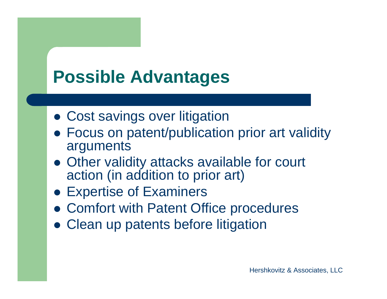- Cost savings over litigation
- Focus on patent/publication prior art validity arguments
- Other validity attacks available for court action (in addition to prior art)
- Expertise of Examiners
- Comfort with Patent Office procedures
- Clean up patents before litigation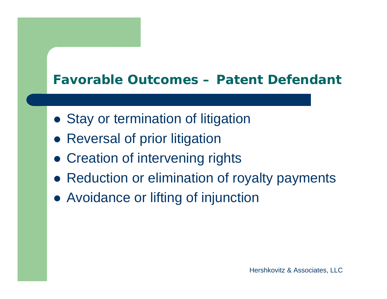#### **Favorable Outcomes – Patent Defendant**

- **Stay or termination of litigation**
- **Reversal of prior litigation**
- **Creation of intervening rights**
- **Reduction or elimination of royalty payments**
- Avoidance or lifting of injunction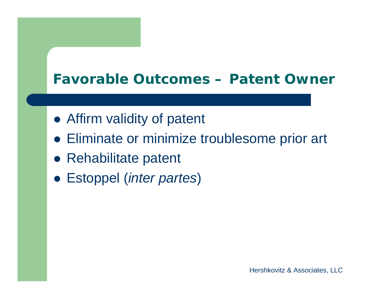#### **Favorable Outcomes – Patent Owner**

- Affirm validity of patent
- Eliminate or minimize troublesome prior art
- **Rehabilitate patent**
- Estoppel (*inter partes*)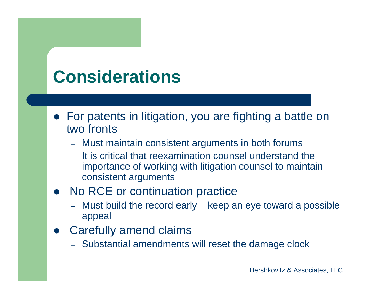## **Considerations**

- For patents in litigation, you are fighting a battle on two fronts
	- Must maintain consistent arguments in both forums
	- It is critical that reexamination counsel understand the importance of working with litigation counsel to maintain consistent arguments

#### • No RCE or continuation practice

- $\rightarrow$  Must build the record early – keep an eye toward a possible appeal
- $\bullet$  Carefully amend claims
	- Substantial amendments will reset the damage clock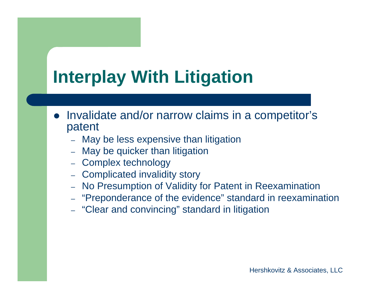- Invalidate and/or narrow claims in a competitor's patent
	- May be less expensive than litigation
	- –May be quicker than litigation
	- –Complex technology
	- Complicated invalidity story
	- –No Presumption of Validity for Patent in Reexamination
	- "Preponderance of the evidence" standard in reexamination
	- "Clear and convincing" standard in litigation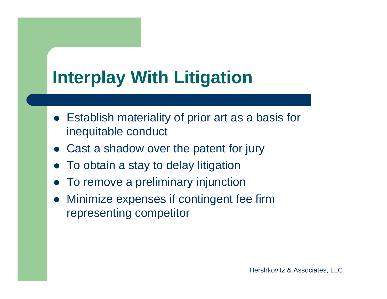- Establish materiality of prior art as a basis for inequitable conduct
- Cast a shadow over the patent for jury
- To obtain a stay to delay litigation
- To remove a preliminary injunction
- $\bullet$  Minimize expenses if contingent fee firm representing competitor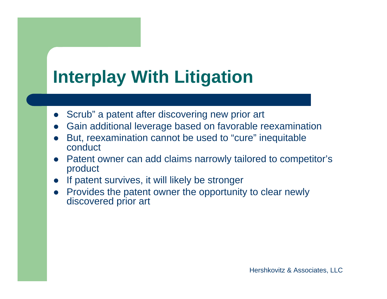- Scrub" a patent after discovering new prior art
- $\bullet$ Gain additional leverage based on favorable reexamination
- $\bullet$  But, reexamination cannot be used to "cure" inequitable conduct
- Patent owner can add claims narrowly tailored to competitor's product
- $\bullet$ If patent survives, it will likely be stronger
- $\bullet$  Provides the patent owner the opportunity to clear newly discovered prior art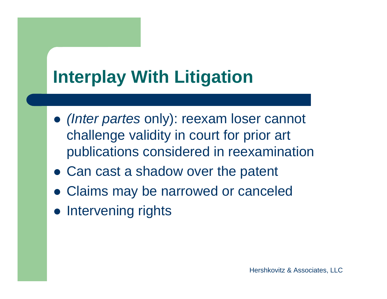- *(Inter partes* only): reexam loser cannot challenge validity in court for prior art publications considered in reexamination
- Can cast a shadow over the patent
- Claims may be narrowed or canceled
- Intervening rights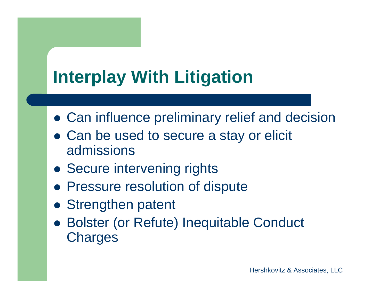- Can influence preliminary relief and decision
- Can be used to secure a stay or elicit admissions
- **Secure intervening rights**
- **Pressure resolution of dispute**
- **Strengthen patent**
- Bolster (or Refute) Inequitable Conduct **Charges**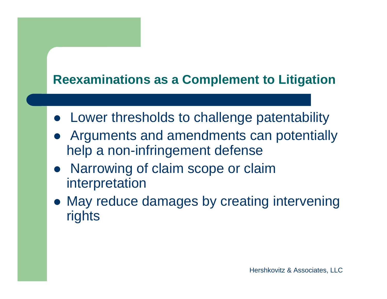#### **Reexaminations as a Complement to Litigation**

- Lower thresholds to challenge patentability
- Arguments and amendments can potentially help a non-infringement defense
- Narrowing of claim scope or claim interpretation
- May reduce damages by creating intervening rights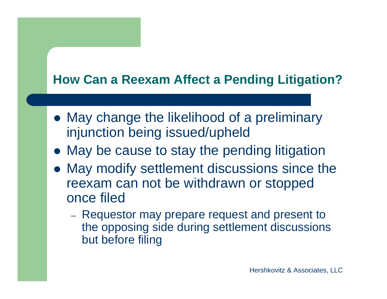#### **How Can a Reexam Affect a Pending Litigation?**

- May change the likelihood of a preliminary injunction being issued/upheld
- May be cause to stay the pending litigation
- May modify settlement discussions since the reexam can not be withdrawn or stopped once filed
	- Requestor may prepare request and present to the opposing side during settlement discussions but before filing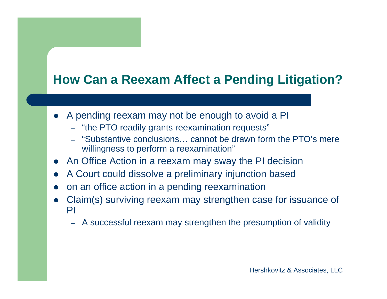#### **How Can a Reexam Affect a Pending Litigation?**

- A pending reexam may not be enough to avoid a PI
	- "the PTO readily grants reexamination requests"
	- "Substantive conclusions… cannot be drawn form the PTO's mere willingness to perform a reexamination"
- An Office Action in a reexam may sway the PI decision
- $\bullet$ A Court could dissolve a preliminary injunction based
- $\bullet$ on an office action in a pending reexamination
- $\bullet$  Claim(s) surviving reexam may strengthen case for issuance of PI
	- A successful reexam may strengthen the presumption of validity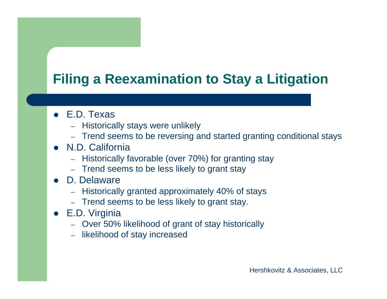#### **Filing a Reexamination to Stay a Litigation**

- E.D. Texas
	- Historically stays were unlikely
	- Trend seems to be reversing and started granting conditional stays
- N.D. California
	- Historically favorable (over 70%) for granting stay
	- Trend seems to be less likely to grant stay
- $\bullet$  D. Delaware
	- Historically granted approximately 40% of stays
	- Trend seems to be less likely to grant stay.
- E.D. Virginia
	- Over 50% likelihood of grant of stay historically
	- likelihood of stay increased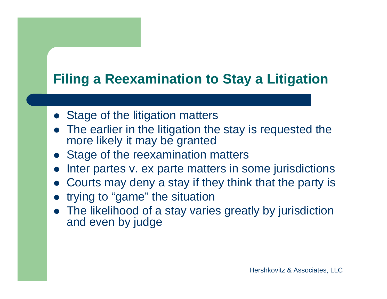#### **Filing a Reexamination to Stay a Litigation**

- **Stage of the litigation matters**
- The earlier in the litigation the stay is requested the more likely it may be granted
- **Stage of the reexamination matters**
- Inter partes v. ex parte matters in some jurisdictions
- $\bullet$ Courts may deny a stay if they think that the party is
- trying to "game" the situation
- The likelihood of a stay varies greatly by jurisdiction and even by judge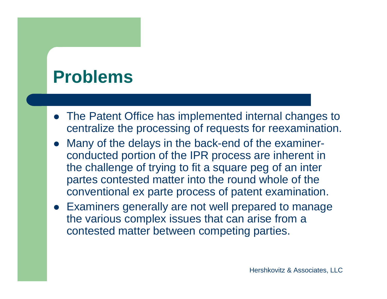#### **Problems**

- The Patent Office has implemented internal changes to centralize the processing of requests for reexamination.
- $\bullet$  Many of the delays in the back-end of the examinerconducted portion of the IPR process are inherent in the challenge of trying to fit a square peg of an inter partes contested matter into the round whole of the conventional ex parte process of patent examination.
- Examiners generally are not well prepared to manage the various complex issues that can arise from a contested matter between competing parties.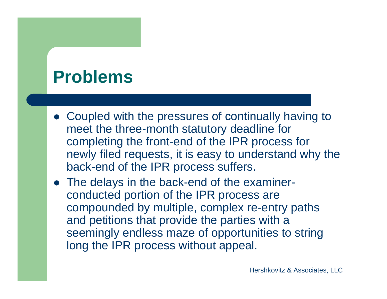#### **Problems**

- Coupled with the pressures of continually having to meet the three-month statutory deadline for completing the front-end of the IPR process for newly filed requests, it is easy to understand why the back-end of the IPR process suffers.
- The delays in the back-end of the examinerconducted portion of the IPR process are compounded by multiple, complex re-entry paths and petitions that provide the parties with a seemingly endless maze of opportunities to string long the IPR process without appeal.